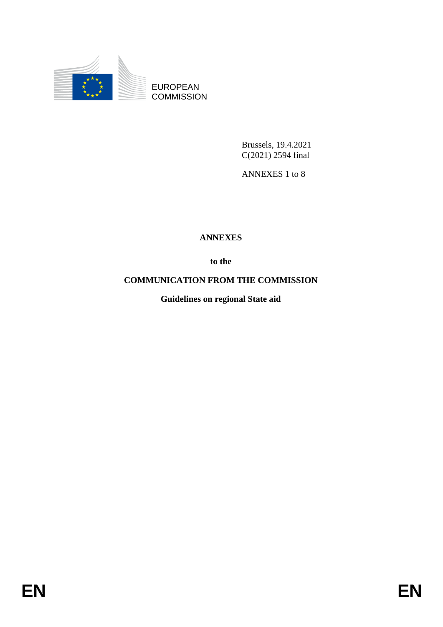

EUROPEAN **COMMISSION** 

> Brussels, 19.4.2021 C(2021) 2594 final

ANNEXES 1 to 8

# **ANNEXES**

**to the**

**COMMUNICATION FROM THE COMMISSION**

**Guidelines on regional State aid**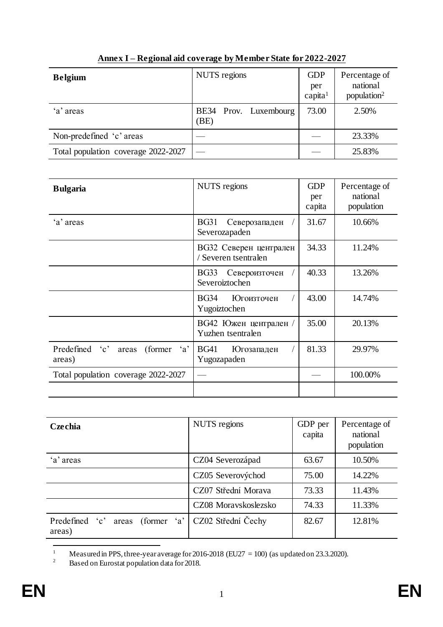| <b>Belgium</b>                      | NUTS regions                  | <b>GDP</b><br>per<br>capita <sup>1</sup> | Percentage of<br>national<br>population <sup>2</sup> |
|-------------------------------------|-------------------------------|------------------------------------------|------------------------------------------------------|
| 'a' areas                           | BE34 Prov. Luxembourg<br>(BE) | 73.00                                    | 2.50%                                                |
| Non-predefined 'c' areas            |                               |                                          | 23.33%                                               |
| Total population coverage 2022-2027 |                               |                                          | 25.83%                                               |

## **Annex I – Regional aid coverage by Member State for 2022-2027**

| <b>Bulgaria</b>                                               | <b>NUTS</b> regions                              | <b>GDP</b><br>per<br>capita | Percentage of<br>national<br>population |
|---------------------------------------------------------------|--------------------------------------------------|-----------------------------|-----------------------------------------|
| 'a' areas                                                     | <b>BG31</b><br>Северозападен<br>Severozapaden    | 31.67                       | 10.66%                                  |
|                                                               | ВСЗ2 Северен централен<br>/ Severen tsentralen   | 34.33                       | 11.24%                                  |
|                                                               | BG33<br>Североизточен<br>Severoiztochen          | 40.33                       | 13.26%                                  |
|                                                               | <b>BG34</b><br><b>Югоизточен</b><br>Yugoiztochen | 43.00                       | 14.74%                                  |
|                                                               | ВС42 Южен централен /<br>Yuzhen tsentralen       | 35.00                       | 20.13%                                  |
| Predefined 'c'<br>(former)<br>$\mathbf{a}$<br>areas<br>areas) | <b>BG41</b><br>Югозападен<br>Yugozapaden         | 81.33                       | 29.97%                                  |
| Total population coverage 2022-2027                           |                                                  |                             | 100.00%                                 |
|                                                               |                                                  |                             |                                         |

| Czechia                                        | NUTS regions         | GDP per<br>capita | Percentage of<br>national<br>population |
|------------------------------------------------|----------------------|-------------------|-----------------------------------------|
| 'a' areas                                      | CZ04 Severozápad     | 63.67             | 10.50%                                  |
|                                                | CZ05 Severovýchod    | 75.00             | 14.22%                                  |
|                                                | CZ07 Střední Morava  | 73.33             | 11.43%                                  |
|                                                | CZ08 Moravskoslezsko | 74.33             | 11.33%                                  |
| Predefined 'c' areas<br>(former $a'$<br>areas) | CZ02 Střední Čechy   | 82.67             | 12.81%                                  |

 $\,1\,$ <sup>1</sup> Measured in PPS, three-year average for 2016-2018 (EU27 = 100) (as updated on 23.3.2020).<br><sup>2</sup> Based on Eurostat population data for 2018

<sup>2</sup> Based on Eurostat population data for 2018.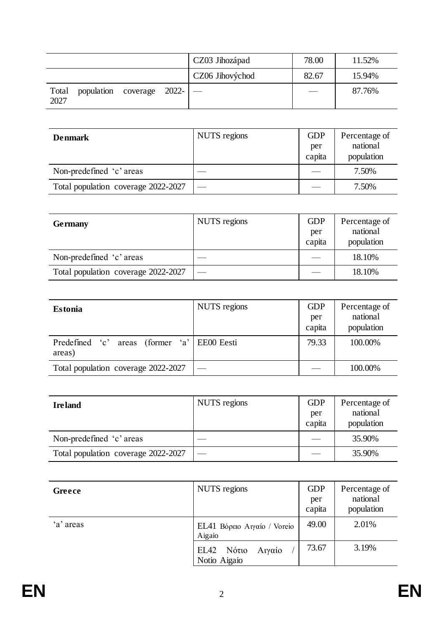|               |                                |  | CZ03 Jihozápad  | 78.00 | 11.52% |
|---------------|--------------------------------|--|-----------------|-------|--------|
|               |                                |  | CZ06 Jihovýchod | 82.67 | 15.94% |
| Total<br>2027 | population coverage $2022 -$ — |  |                 |       | 87.76% |

| <b>Denmark</b>                      | NUTS regions | <b>GDP</b><br>per<br>capita | Percentage of<br>national<br>population |
|-------------------------------------|--------------|-----------------------------|-----------------------------------------|
| Non-predefined 'c' areas            |              |                             | 7.50%                                   |
| Total population coverage 2022-2027 |              |                             | 7.50%                                   |

| <b>Germany</b>                      | NUTS regions | <b>GDP</b><br>per<br>capita | Percentage of<br>national<br>population |
|-------------------------------------|--------------|-----------------------------|-----------------------------------------|
| Non-predefined 'c' areas            |              |                             | 18.10%                                  |
| Total population coverage 2022-2027 |              |                             | 18.10%                                  |

| <b>Estonia</b>                                           | NUTS regions | GDP<br>per<br>capita | Percentage of<br>national<br>population |
|----------------------------------------------------------|--------------|----------------------|-----------------------------------------|
| Predefined 'c'<br>areas (former 'a' EE00 Eesti<br>areas) |              | 79.33                | 100.00%                                 |
| Total population coverage 2022-2027                      |              |                      | 100.00%                                 |

| <b>Ireland</b>                      | NUTS regions | <b>GDP</b><br>per<br>capita | Percentage of<br>national<br>population |
|-------------------------------------|--------------|-----------------------------|-----------------------------------------|
| Non-predefined 'c' areas            |              |                             | 35.90%                                  |
| Total population coverage 2022-2027 |              |                             | 35.90%                                  |

| Greece    | NUTS regions                            | <b>GDP</b><br>per<br>capita | Percentage of<br>national<br>population |
|-----------|-----------------------------------------|-----------------------------|-----------------------------------------|
| 'a' areas | EL41 Βόρειο Αιγαίο / Voreio<br>Aigaio   | 49.00                       | 2.01%                                   |
|           | Νότιο<br>EL42<br>Αιγαίο<br>Notio Aigaio | 73.67                       | 3.19%                                   |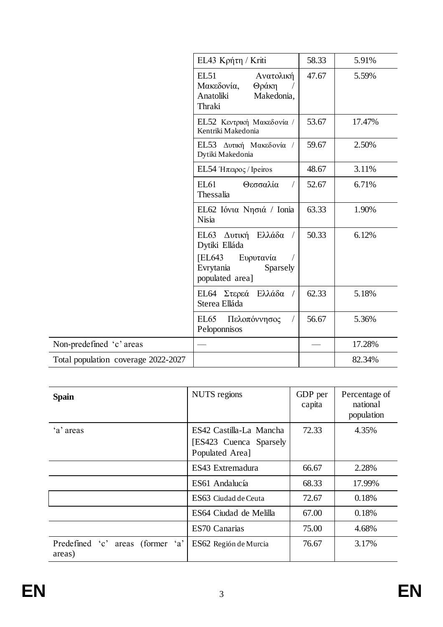|                                     | EL43 Κρήτη / Kriti                                                                                              | 58.33 | 5.91%  |
|-------------------------------------|-----------------------------------------------------------------------------------------------------------------|-------|--------|
|                                     | EL51<br>Ανατολική<br>Μακεδονία,<br>Θράκη<br>Anatoliki<br>Makedonia,<br>Thraki                                   | 47.67 | 5.59%  |
|                                     | EL52 Κεντρική Μακεδονία /<br>Kentriki Makedonia                                                                 | 53.67 | 17.47% |
|                                     | EL53 Δυτική Μακεδονία /<br>Dytiki Makedonia                                                                     | 59.67 | 2.50%  |
|                                     | EL54 Ήπειρος / Ipeiros                                                                                          | 48.67 | 3.11%  |
|                                     | EL61<br>Θεσσαλία<br>Thessalia                                                                                   | 52.67 | 6.71%  |
|                                     | EL62 Ιόνια Νησιά / Ionia<br><b>Nisia</b>                                                                        | 63.33 | 1.90%  |
|                                     | Ελλάδα<br>ΕL63 Δυτική<br>Dytiki Elláda<br><b>EL643</b><br>Ευρυτανία<br>Evrytania<br>Sparsely<br>populated area] | 50.33 | 6.12%  |
|                                     | ΕL64 Στερεά<br>Ελλάδα<br>Sterea Elláda                                                                          | 62.33 | 5.18%  |
|                                     | EL65<br>Πελοπόννησος<br>Peloponnisos                                                                            | 56.67 | 5.36%  |
| Non-predefined 'c' areas            |                                                                                                                 |       | 17.28% |
| Total population coverage 2022-2027 |                                                                                                                 |       | 82.34% |

| <b>Spain</b>                               | NUTS regions                                                         | GDP per<br>capita | Percentage of<br>national<br>population |
|--------------------------------------------|----------------------------------------------------------------------|-------------------|-----------------------------------------|
| 'a' areas                                  | ES42 Castilla-La Mancha<br>[ES423 Cuenca Sparsely<br>Populated Area] | 72.33             | 4.35%                                   |
|                                            | ES43 Extremadura                                                     | 66.67             | 2.28%                                   |
|                                            | ES61 Andalucía                                                       | 68.33             | 17.99%                                  |
|                                            | ES63 Ciudad de Ceuta                                                 | 72.67             | 0.18%                                   |
|                                            | ES64 Ciudad de Melilla                                               | 67.00             | 0.18%                                   |
|                                            | ES70 Canarias                                                        | 75.00             | 4.68%                                   |
| Predefined 'c' areas (former 'a'<br>areas) | ES62 Región de Murcia                                                | 76.67             | 3.17%                                   |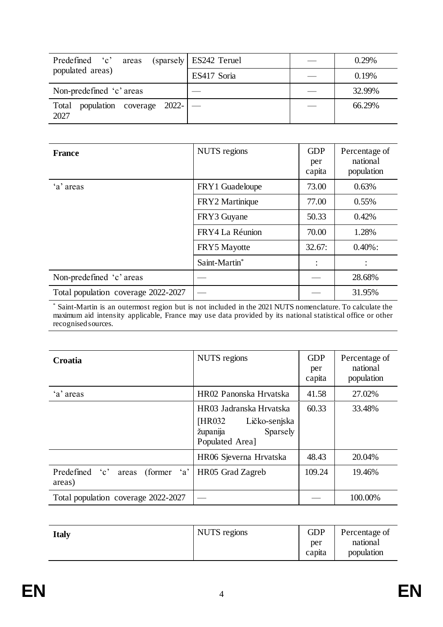| Predefined 'c'<br>areas                           | (sparsely ES242 Teruel) | 0.29%  |
|---------------------------------------------------|-------------------------|--------|
| populated areas)                                  | ES417 Soria             | 0.19%  |
| Non-predefined 'c' areas                          |                         | 32.99% |
| population coverage $2022 -$   —<br>Total<br>2027 |                         | 66.29% |

| <b>France</b>                       | NUTS regions    | <b>GDP</b><br>per<br>capita | Percentage of<br>national<br>population |
|-------------------------------------|-----------------|-----------------------------|-----------------------------------------|
| 'a' areas                           | FRY1 Guadeloupe | 73.00                       | 0.63%                                   |
|                                     | FRY2 Martinique | 77.00                       | 0.55%                                   |
|                                     | FRY3 Guyane     | 50.33                       | 0.42%                                   |
|                                     | FRY4 La Réunion | 70.00                       | 1.28%                                   |
|                                     | FRY5 Mayotte    | 32.67:                      | $0.40\%$ :                              |
|                                     | Saint-Martin*   |                             |                                         |
| Non-predefined 'c' areas            |                 |                             | 28.68%                                  |
| Total population coverage 2022-2027 |                 |                             | 31.95%                                  |

\* Saint-Martin is an outermost region but is not included in the 2021 NUTS nomenclature. To calculate the maximum aid intensity applicable, France may use data provided by its national statistical office or other recognised sources.

| Croatia                                                               | NUTS regions                                                                                   | <b>GDP</b><br>per<br>capita | Percentage of<br>national<br>population |
|-----------------------------------------------------------------------|------------------------------------------------------------------------------------------------|-----------------------------|-----------------------------------------|
| 'a' areas                                                             | HR02 Panonska Hrvatska                                                                         | 41.58                       | 27.02%                                  |
|                                                                       | HR03 Jadranska Hrvatska<br>[HR032]<br>Ličko-senjska<br>Sparsely<br>županija<br>Populated Area] | 60.33                       | 33.48%                                  |
|                                                                       | HR06 Sjeverna Hrvatska                                                                         | 48.43                       | 20.04%                                  |
| Predefined<br>$\cdot c$ ,<br>$\cdot_a$<br>(former)<br>areas<br>areas) | HR05 Grad Zagreb                                                                               | 109.24                      | 19.46%                                  |
| Total population coverage 2022-2027                                   |                                                                                                |                             | 100.00%                                 |

| <b>Italy</b> | NUTS regions | <b>GDP</b><br>per | Percentage of<br>national |
|--------------|--------------|-------------------|---------------------------|
|              |              | capita            | population                |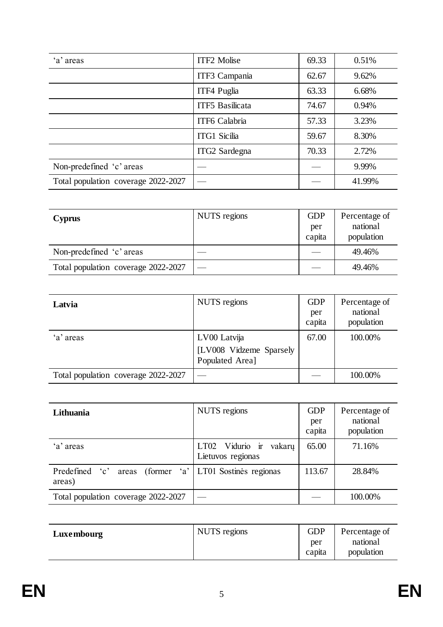| 'a' areas                           | <b>ITF2 Molise</b> | 69.33 | 0.51%  |
|-------------------------------------|--------------------|-------|--------|
|                                     | ITF3 Campania      | 62.67 | 9.62%  |
|                                     | ITF4 Puglia        | 63.33 | 6.68%  |
|                                     | ITF5 Basilicata    | 74.67 | 0.94%  |
|                                     | ITF6 Calabria      | 57.33 | 3.23%  |
|                                     | ITG1 Sicilia       | 59.67 | 8.30%  |
|                                     | ITG2 Sardegna      | 70.33 | 2.72%  |
| Non-predefined 'c' areas            |                    |       | 9.99%  |
| Total population coverage 2022-2027 |                    |       | 41.99% |

| <b>Cyprus</b>                       | NUTS regions | <b>GDP</b><br>per<br>capita | Percentage of<br>national<br>population |
|-------------------------------------|--------------|-----------------------------|-----------------------------------------|
| Non-predefined 'c' areas            |              |                             | 49.46%                                  |
| Total population coverage 2022-2027 |              |                             | 49.46%                                  |

| Latvia                              | NUTS regions                                               | <b>GDP</b><br>per<br>capita | Percentage of<br>national<br>population |
|-------------------------------------|------------------------------------------------------------|-----------------------------|-----------------------------------------|
| 'a' areas                           | LV00 Latvija<br>[LV008 Vidzeme Sparsely<br>Populated Area] | 67.00                       | 100.00%                                 |
| Total population coverage 2022-2027 |                                                            |                             | 100.00%                                 |

| Lithuania                           | NUTS regions                                | <b>GDP</b><br>per<br>capita | Percentage of<br>national<br>population |
|-------------------------------------|---------------------------------------------|-----------------------------|-----------------------------------------|
| 'a' areas                           | LT02 Vidurio ir vakarų<br>Lietuvos regionas | 65.00                       | 71.16%                                  |
| Predefined 'c'<br>areas)            | areas (former 'a' LT01 Sostines regionas    | 113.67                      | 28.84%                                  |
| Total population coverage 2022-2027 |                                             |                             | 100.00%                                 |

| NUTS regions<br>Luxembourg | <b>GDP</b><br>per<br>capita | Percentage of<br>national<br>population |
|----------------------------|-----------------------------|-----------------------------------------|
|----------------------------|-----------------------------|-----------------------------------------|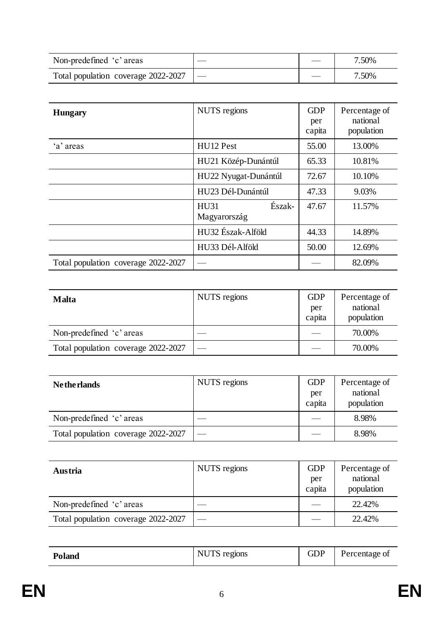| Non-predefined 'c' areas                    |  | 7.50% |
|---------------------------------------------|--|-------|
| Total population coverage $2022 - 2027$   — |  | 7.50% |

| <b>Hungary</b>                      | NUTS regions                          | <b>GDP</b><br>per<br>capita | Percentage of<br>national<br>population |
|-------------------------------------|---------------------------------------|-----------------------------|-----------------------------------------|
| 'a' areas                           | HU <sub>12</sub> Pest                 | 55.00                       | 13.00%                                  |
|                                     | HU21 Közép-Dunántúl                   | 65.33                       | 10.81%                                  |
|                                     | HU22 Nyugat-Dunántúl                  | 72.67                       | 10.10%                                  |
|                                     | HU23 Dél-Dunántúl                     | 47.33                       | 9.03%                                   |
|                                     | Észak-<br><b>HU31</b><br>Magyarország | 47.67                       | 11.57%                                  |
|                                     | HU32 Észak-Alföld                     | 44.33                       | 14.89%                                  |
|                                     | HU33 Dél-Alföld                       | 50.00                       | 12.69%                                  |
| Total population coverage 2022-2027 |                                       |                             | 82.09%                                  |

| <b>Malta</b>                        | NUTS regions | <b>GDP</b><br>per<br>capita | Percentage of<br>national<br>population |
|-------------------------------------|--------------|-----------------------------|-----------------------------------------|
| Non-predefined 'c' areas            |              |                             | 70.00%                                  |
| Total population coverage 2022-2027 |              |                             | 70.00%                                  |

| <b>Netherlands</b>                  | NUTS regions | <b>GDP</b><br>per<br>capita | Percentage of<br>national<br>population |
|-------------------------------------|--------------|-----------------------------|-----------------------------------------|
| Non-predefined 'c' areas            |              |                             | 8.98%                                   |
| Total population coverage 2022-2027 |              |                             | 8.98%                                   |

| Austria                             | NUTS regions | <b>GDP</b><br>per<br>capita | Percentage of<br>national<br>population |
|-------------------------------------|--------------|-----------------------------|-----------------------------------------|
| Non-predefined 'c' areas            |              |                             | 22.42%                                  |
| Total population coverage 2022-2027 |              |                             | 22.42%                                  |

| <b>Poland</b> | $N$ I $Tc$<br>NUTS regions | GDP | Percentage of |
|---------------|----------------------------|-----|---------------|
|---------------|----------------------------|-----|---------------|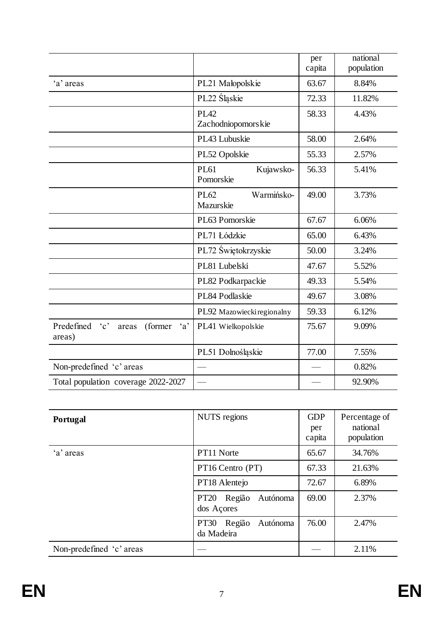|                                                                         |                                       | per<br>capita | national<br>population |
|-------------------------------------------------------------------------|---------------------------------------|---------------|------------------------|
| 'a' areas                                                               | PL21 Małopolskie                      | 63.67         | 8.84%                  |
|                                                                         | PL22 Sląskie                          | 72.33         | 11.82%                 |
|                                                                         | <b>PL42</b><br>Zachodniopomorskie     | 58.33         | 4.43%                  |
|                                                                         | PL43 Lubuskie                         | 58.00         | 2.64%                  |
|                                                                         | PL52 Opolskie                         | 55.33         | 2.57%                  |
|                                                                         | <b>PL61</b><br>Kujawsko-<br>Pomorskie | 56.33         | 5.41%                  |
|                                                                         | PL62<br>Warmińsko-<br>Mazurskie       | 49.00         | 3.73%                  |
|                                                                         | PL63 Pomorskie                        | 67.67         | 6.06%                  |
|                                                                         | PL71 Łódzkie                          | 65.00         | 6.43%                  |
|                                                                         | PL72 Świętokrzyskie                   | 50.00         | 3.24%                  |
|                                                                         | PL81 Lubelski                         | 47.67         | 5.52%                  |
|                                                                         | PL82 Podkarpackie                     | 49.33         | 5.54%                  |
|                                                                         | PL84 Podlaskie                        | 49.67         | 3.08%                  |
|                                                                         | PL92 Mazowiecki regionalny            | 59.33         | 6.12%                  |
| Predefined<br>$\cdot_c$ ,<br>$\mathbf{a}$<br>(former<br>areas<br>areas) | PL41 Wielkopolskie                    | 75.67         | 9.09%                  |
|                                                                         | PL51 Dolnośląskie                     | 77.00         | 7.55%                  |
| Non-predefined 'c' areas                                                |                                       |               | 0.82%                  |
| Total population coverage 2022-2027                                     |                                       |               | 92.90%                 |

| Portugal                 | NUTS regions                                    | <b>GDP</b><br>per<br>capita | Percentage of<br>national<br>population |
|--------------------------|-------------------------------------------------|-----------------------------|-----------------------------------------|
| 'a' areas                | PT11 Norte                                      | 65.67                       | 34.76%                                  |
|                          | PT16 Centro (PT)                                | 67.33                       | 21.63%                                  |
|                          | PT18 Alentejo                                   | 72.67                       | 6.89%                                   |
|                          | Região<br>Autónoma<br><b>PT20</b><br>dos Açores | 69.00                       | 2.37%                                   |
|                          | Região<br>Autónoma<br><b>PT30</b><br>da Madeira | 76.00                       | 2.47%                                   |
| Non-predefined 'c' areas |                                                 |                             | 2.11%                                   |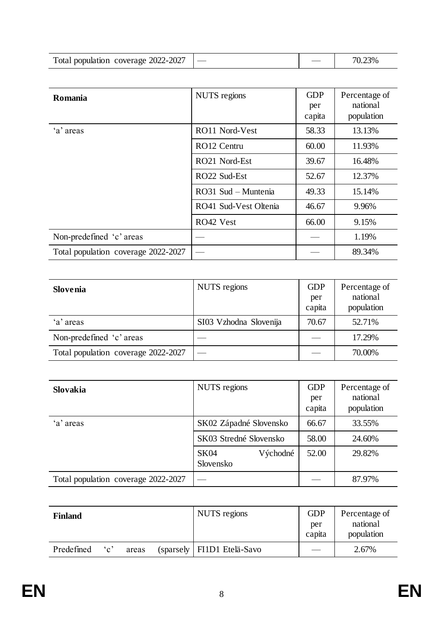| Total population coverage 2022-2027 |  | $3\%$ |
|-------------------------------------|--|-------|

| Romania                             | NUTS regions          | <b>GDP</b><br>per<br>capita | Percentage of<br>national<br>population |
|-------------------------------------|-----------------------|-----------------------------|-----------------------------------------|
| 'a' areas                           | RO11 Nord-Vest        | 58.33                       | 13.13%                                  |
|                                     | RO12 Centru           | 60.00                       | 11.93%                                  |
|                                     | RO21 Nord-Est         | 39.67                       | 16.48%                                  |
|                                     | RO22 Sud-Est          | 52.67                       | 12.37%                                  |
|                                     | RO31 Sud - Muntenia   | 49.33                       | 15.14%                                  |
|                                     | RO41 Sud-Vest Oltenia | 46.67                       | 9.96%                                   |
|                                     | RO42 Vest             | 66.00                       | 9.15%                                   |
| Non-predefined 'c' areas            |                       |                             | 1.19%                                   |
| Total population coverage 2022-2027 |                       |                             | 89.34%                                  |

| <b>Slovenia</b>                     | NUTS regions           | <b>GDP</b><br>per<br>capita | Percentage of<br>national<br>population |
|-------------------------------------|------------------------|-----------------------------|-----------------------------------------|
| 'a' areas                           | SI03 Vzhodna Slovenija | 70.67                       | 52.71%                                  |
| Non-predefined 'c' areas            |                        |                             | 17.29%                                  |
| Total population coverage 2022-2027 |                        |                             | 70.00%                                  |

| <b>Slovakia</b>                     | NUTS regions                         | <b>GDP</b><br>per<br>capita | Percentage of<br>national<br>population |
|-------------------------------------|--------------------------------------|-----------------------------|-----------------------------------------|
| 'a' areas                           | SK02 Západné Slovensko               | 66.67                       | 33.55%                                  |
|                                     | SK03 Stredné Slovensko               | 58.00                       | 24.60%                                  |
|                                     | <b>SK04</b><br>Východné<br>Slovensko | 52.00                       | 29.82%                                  |
| Total population coverage 2022-2027 |                                      |                             | 87.97%                                  |

| <b>Finland</b> |           |       | NUTS regions                 | <b>GDP</b><br>per<br>capita | Percentage of<br>national<br>population |
|----------------|-----------|-------|------------------------------|-----------------------------|-----------------------------------------|
| Predefined     | $\cdot_c$ | areas | (sparsely   FI1D1 Etelä-Savo |                             | 2.67%                                   |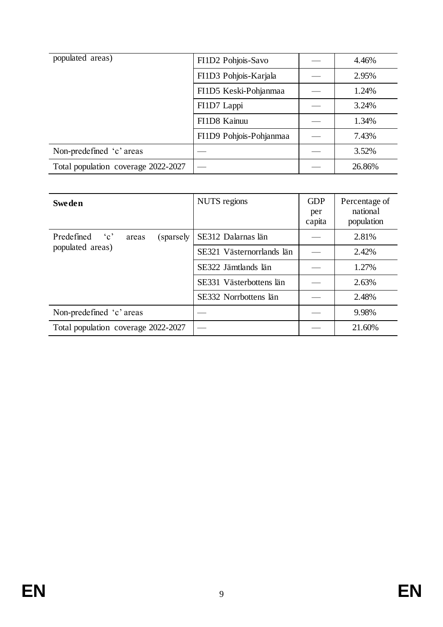| populated areas)                    | FI1D2 Pohjois-Savo      | 4.46%  |
|-------------------------------------|-------------------------|--------|
|                                     | FI1D3 Pohjois-Karjala   | 2.95%  |
|                                     | FI1D5 Keski-Pohjanmaa   | 1.24%  |
|                                     | FI1D7 Lappi             | 3.24%  |
|                                     | FI1D8 Kainuu            | 1.34%  |
|                                     | FI1D9 Pohjois-Pohjanmaa | 7.43%  |
| Non-predefined 'c' areas            |                         | 3.52%  |
| Total population coverage 2022-2027 |                         | 26.86% |

| <b>Sweden</b>                        | <b>NUTS</b> regions       | <b>GDP</b><br>per<br>capita | Percentage of<br>national<br>population |
|--------------------------------------|---------------------------|-----------------------------|-----------------------------------------|
| Predefined 'c'<br>(sparsely<br>areas | SE312 Dalarnas län        |                             | 2.81%                                   |
| populated areas)                     | SE321 Västernorrlands län |                             | 2.42%                                   |
|                                      | SE322 Jämtlands län       |                             | 1.27%                                   |
|                                      | SE331 Västerbottens län   |                             | 2.63%                                   |
|                                      | SE332 Norrbottens län     |                             | 2.48%                                   |
| Non-predefined 'c' areas             |                           |                             | 9.98%                                   |
| Total population coverage 2022-2027  |                           |                             | 21.60%                                  |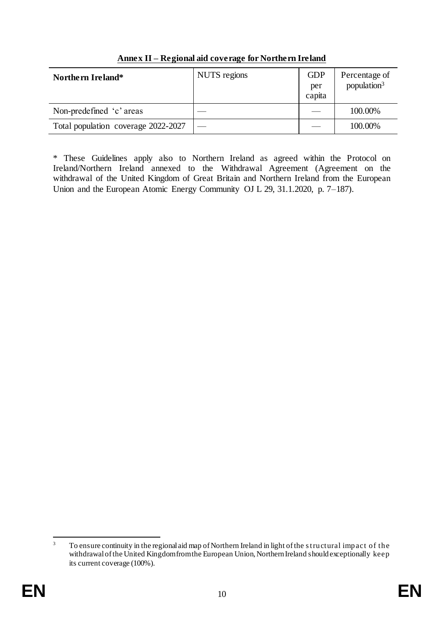| <b>Northern Ireland*</b>            | NUTS regions | <b>GDP</b><br>per<br>capita | Percentage of<br>population <sup>3</sup> |
|-------------------------------------|--------------|-----------------------------|------------------------------------------|
| Non-predefined 'c' areas            |              |                             | 100.00%                                  |
| Total population coverage 2022-2027 |              |                             | 100.00%                                  |

**Annex II – Regional aid coverage for Northern Ireland**

\* These Guidelines apply also to Northern Ireland as agreed within the Protocol on Ireland/Northern Ireland annexed to the Withdrawal Agreement (Agreement on the withdrawal of the United Kingdom of Great Britain and Northern Ireland from the European Union and the European Atomic Energy Community OJ L 29, 31.1.2020, p. 7–187).

 $\overline{3}$ <sup>3</sup> To ensure continuity in the regional aid map of Northern Ireland in light of the s tructural impact of the withdrawal of the United Kingdom from the European Union, Northern Ireland should exceptionally keep its current coverage (100%).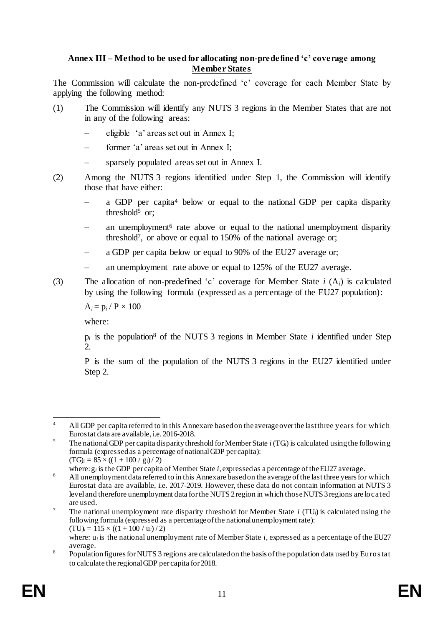#### **Annex III – Method to be used for allocating non-predefined 'c' coverage among Member States**

The Commission will calculate the non-predefined 'c' coverage for each Member State by applying the following method:

- (1) The Commission will identify any NUTS 3 regions in the Member States that are not in any of the following areas:
	- eligible 'a' areas set out in Annex I;
	- former 'a' areas set out in Annex I;
	- sparsely populated areas set out in Annex I.
- (2) Among the NUTS 3 regions identified under Step 1, the Commission will identify those that have either:
	- a GDP per capita<sup>4</sup> below or equal to the national GDP per capita disparity threshold $5$  or:
	- an unemployment<sup>6</sup> rate above or equal to the national unemployment disparity threshold<sup>7</sup> , or above or equal to 150% of the national average or;
	- a GDP per capita below or equal to 90% of the EU27 average or;
	- an unemployment rate above or equal to 125% of the EU27 average.
- (3) The allocation of non-predefined 'c' coverage for Member State *i* (A*i*) is calculated by using the following formula (expressed as a percentage of the EU27 population):

 $A_i = p_i / P \times 100$ 

where:

 $p_i$  is the population<sup>8</sup> of the NUTS 3 regions in Member State  $i$  identified under Step 2.

P is the sum of the population of the NUTS 3 regions in the EU27 identified under Step 2.

<sup>1</sup> <sup>4</sup> All GDP per capita referred to in this Annex are based on the average over the last three years for which Eurostat data are available, i.e. 2016-2018.

<sup>5</sup> The national GDP per capita disparity threshold for Member State *i* (TG*i*) is calculated using the following formula (expressed as a percentage of national GDP per capita):  $(TG)<sub>i</sub> = 85 \times ((1 + 100 / g<sub>i</sub>)/2)$ 

where: g*<sup>i</sup>* is the GDP per capita of Member State *i*, expressed as a percentage of the EU27 average.

<sup>&</sup>lt;sup>6</sup> All unemployment data referred to in this Annex are based on the average of the last three years for which Eurostat data are available, i.e. 2017-2019. However, these data do not contain information at NUTS 3 level and therefore unemployment data for the NUTS 2 region in which those NUTS 3 regions are located are used.

<sup>7</sup> The national unemployment rate disparity threshold for Member State *i* (TU*i*) is calculated using the following formula (expressed as a percentage of the national unemployment rate):  $(TU)_i = 115 \times ((1 + 100 / u_i) / 2)$ 

where:  $u_i$  is the national unemployment rate of Member State  $i$ , expressed as a percentage of the EU27 average.

<sup>&</sup>lt;sup>8</sup> Population figures for NUTS 3 regions are calculated on the basis of the population data used by Euros tat to calculate the regional GDP per capita for 2018.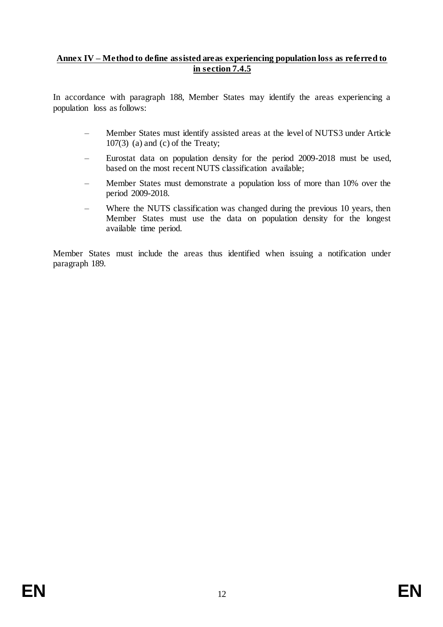#### **Annex IV – Method to define assisted areas experiencing population loss as referred to in section 7.4.5**

In accordance with paragraph 188, Member States may identify the areas experiencing a population loss as follows:

- Member States must identify assisted areas at the level of NUTS3 under Article  $107(3)$  (a) and (c) of the Treaty;
- Eurostat data on population density for the period 2009-2018 must be used, based on the most recent NUTS classification available;
- Member States must demonstrate a population loss of more than 10% over the period 2009-2018.
- Where the NUTS classification was changed during the previous 10 years, then Member States must use the data on population density for the longest available time period.

Member States must include the areas thus identified when issuing a notification under paragraph 189.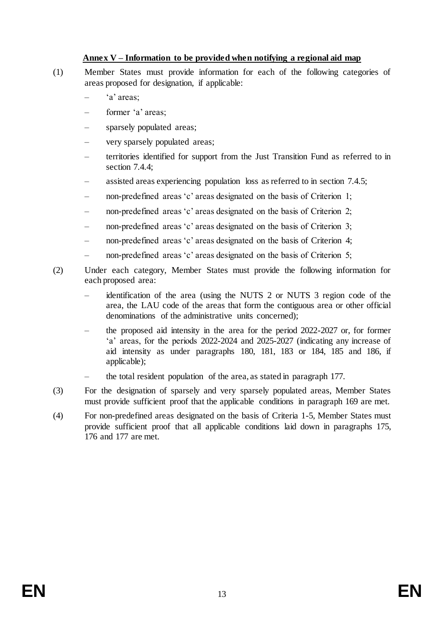#### **Annex V – Information to be provided when notifying a regional aid map**

- (1) Member States must provide information for each of the following categories of areas proposed for designation, if applicable:
	- 'a' areas:
	- former 'a' areas;
	- sparsely populated areas;
	- very sparsely populated areas;
	- territories identified for support from the Just Transition Fund as referred to in section 7.4.4;
	- assisted areas experiencing population loss as referred to in section 7.4.5;
	- non-predefined areas 'c' areas designated on the basis of Criterion 1;
	- non-predefined areas 'c' areas designated on the basis of Criterion 2;
	- non-predefined areas 'c' areas designated on the basis of Criterion 3;
	- non-predefined areas 'c' areas designated on the basis of Criterion 4;
	- non-predefined areas 'c' areas designated on the basis of Criterion 5;
- (2) Under each category, Member States must provide the following information for each proposed area:
	- identification of the area (using the NUTS 2 or NUTS 3 region code of the area, the LAU code of the areas that form the contiguous area or other official denominations of the administrative units concerned);
	- the proposed aid intensity in the area for the period 2022-2027 or, for former 'a' areas, for the periods 2022-2024 and 2025-2027 (indicating any increase of aid intensity as under paragraphs 180, 181, 183 or 184, 185 and 186, if applicable);
	- the total resident population of the area, as stated in paragraph 177.
- (3) For the designation of sparsely and very sparsely populated areas, Member States must provide sufficient proof that the applicable conditions in paragraph 169 are met.
- (4) For non-predefined areas designated on the basis of Criteria 1-5, Member States must provide sufficient proof that all applicable conditions laid down in paragraphs 175, 176 and 177 are met.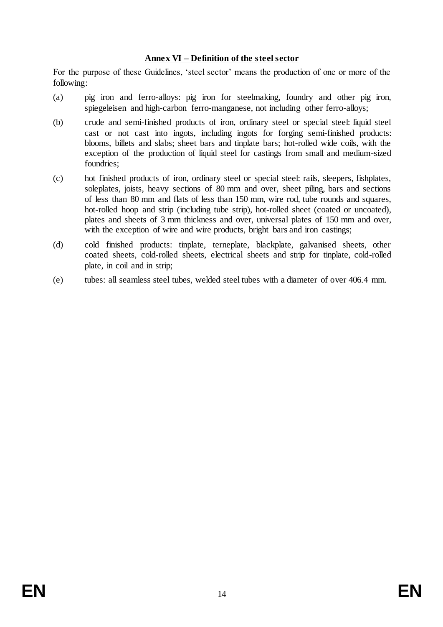#### **Annex VI – Definition of the steel sector**

For the purpose of these Guidelines, 'steel sector' means the production of one or more of the following:

- (a) pig iron and ferro-alloys: pig iron for steelmaking, foundry and other pig iron, spiegeleisen and high-carbon ferro-manganese, not including other ferro-alloys;
- (b) crude and semi-finished products of iron, ordinary steel or special steel: liquid steel cast or not cast into ingots, including ingots for forging semi-finished products: blooms, billets and slabs; sheet bars and tinplate bars; hot-rolled wide coils, with the exception of the production of liquid steel for castings from small and medium-sized foundries;
- (c) hot finished products of iron, ordinary steel or special steel: rails, sleepers, fishplates, soleplates, joists, heavy sections of 80 mm and over, sheet piling, bars and sections of less than 80 mm and flats of less than 150 mm, wire rod, tube rounds and squares, hot-rolled hoop and strip (including tube strip), hot-rolled sheet (coated or uncoated), plates and sheets of 3 mm thickness and over, universal plates of 150 mm and over, with the exception of wire and wire products, bright bars and iron castings;
- (d) cold finished products: tinplate, terneplate, blackplate, galvanised sheets, other coated sheets, cold-rolled sheets, electrical sheets and strip for tinplate, cold-rolled plate, in coil and in strip;
- (e) tubes: all seamless steel tubes, welded steel tubes with a diameter of over 406.4 mm.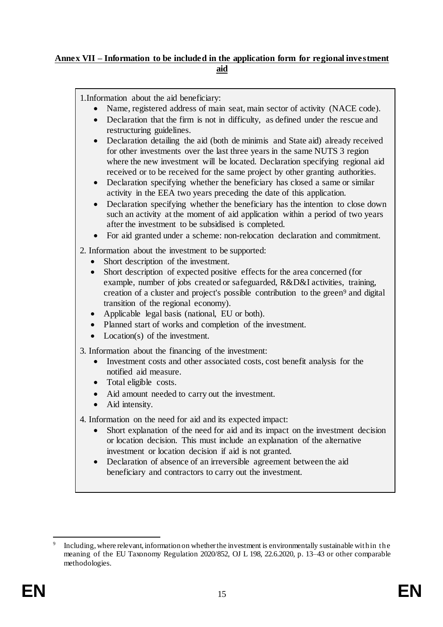#### **Annex VII – Information to be included in the application form for regional investment aid**

1.Information about the aid beneficiary:

- Name, registered address of main seat, main sector of activity (NACE code).
- Declaration that the firm is not in difficulty, as defined under the rescue and restructuring guidelines.
- Declaration detailing the aid (both de minimis and State aid) already received for other investments over the last three years in the same NUTS 3 region where the new investment will be located. Declaration specifying regional aid received or to be received for the same project by other granting authorities.
- Declaration specifying whether the beneficiary has closed a same or similar activity in the EEA two years preceding the date of this application.
- Declaration specifying whether the beneficiary has the intention to close down such an activity at the moment of aid application within a period of two years after the investment to be subsidised is completed.
- For aid granted under a scheme: non-relocation declaration and commitment.

2. Information about the investment to be supported:

- Short description of the investment.
- Short description of expected positive effects for the area concerned (for example, number of jobs created or safeguarded, R&D&I activities, training, creation of a cluster and project's possible contribution to the green<sup>9</sup> and digital transition of the regional economy).
- Applicable legal basis (national, EU or both).
- Planned start of works and completion of the investment.
- Location(s) of the investment.

3. Information about the financing of the investment:

- Investment costs and other associated costs, cost benefit analysis for the notified aid measure.
- Total eligible costs.
- Aid amount needed to carry out the investment.
- Aid intensity.

4. Information on the need for aid and its expected impact:

- Short explanation of the need for aid and its impact on the investment decision or location decision. This must include an explanation of the alternative investment or location decision if aid is not granted.
- Declaration of absence of an irreversible agreement between the aid beneficiary and contractors to carry out the investment.

<sup>1</sup> 9 Including, where relevant, information on whether the investment is environmentally sustainable within the meaning of the EU Taxonomy Regulation 2020/852, OJ L 198, 22.6.2020, p. 13–43 or other comparable methodologies.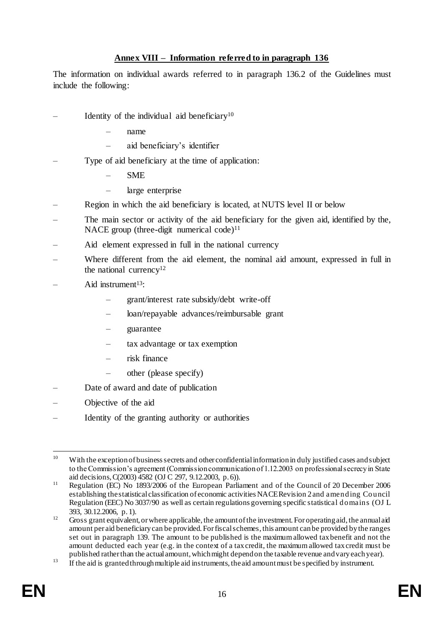### **Annex VIII – Information referred to in paragraph 136**

The information on individual awards referred to in paragraph 136.2 of the Guidelines must include the following:

- Identity of the individual aid beneficiary $10$ 
	- name
	- aid beneficiary's identifier
- Type of aid beneficiary at the time of application:
	- SME
	- large enterprise
- Region in which the aid beneficiary is located, at NUTS level II or below
- The main sector or activity of the aid beneficiary for the given aid, identified by the, NACE group (three-digit numerical code)<sup>11</sup>
- Aid element expressed in full in the national currency
- Where different from the aid element, the nominal aid amount, expressed in full in the national currency<sup>12</sup>
- Aid instrument $13$ :
	- grant/interest rate subsidy/debt write-off
	- loan/repayable advances/reimbursable grant
	- guarantee
	- tax advantage or tax exemption
	- risk finance
	- other (please specify)
- Date of award and date of publication
- Objective of the aid
- Identity of the granting authority or authorities

<sup>1</sup> <sup>10</sup> With the exception of business secrets and other confidential information in duly justified cases and subject to the Commission's agreement (Commission communication of 1.12.2003 on professional secrecy in State aid decisions, C(2003) 4582 [\(OJ C 297, 9.12.2003, p. 6\)](https://eur-lex.europa.eu/legal-content/EN/AUTO/?uri=OJ:C:2003:297:TOC)).

<sup>&</sup>lt;sup>11</sup> Regulation (EC) No 1893/2006 of the European Parliament and of the Council of 20 December 2006 establishing the statistical classification of economic activities NACE Revision 2 and amending Council Regulation (EEC) No 3037/90 as well as certain regulations governing specific statistical domains (OJ L 393, 30.12.2006, p. 1).

<sup>&</sup>lt;sup>12</sup> Gross grant equivalent, or where applicable, the amount of the investment. For operating aid, the annual aid amount per aid beneficiary can be provided. For fiscal schemes, this amount can be provided by the ranges set out in paragraph 139. The amount to be published is the maximum allowed tax benefit and not the amount deducted each year (e.g. in the context of a tax credit, the maximum allowed tax credit must be published rather than the actual amount, which might depend on the taxable revenue and vary each year).

<sup>&</sup>lt;sup>13</sup> If the aid is granted through multiple aid instruments, the aid amount must be specified by instrument.